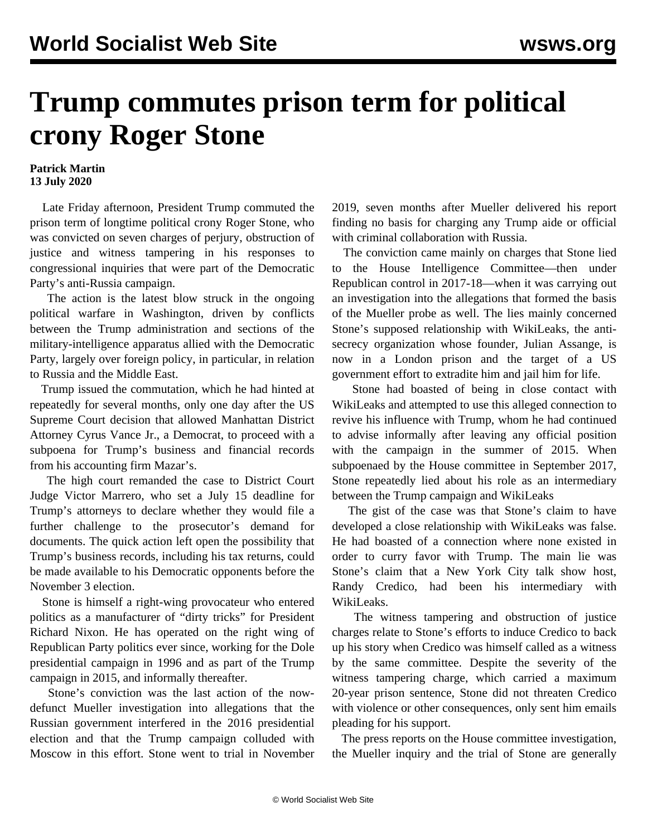## **Trump commutes prison term for political crony Roger Stone**

## **Patrick Martin 13 July 2020**

 Late Friday afternoon, President Trump commuted the prison term of longtime political crony Roger Stone, who was convicted on seven charges of perjury, obstruction of justice and witness tampering in his responses to congressional inquiries that were part of the Democratic Party's anti-Russia campaign.

 The action is the latest blow struck in the ongoing political warfare in Washington, driven by conflicts between the Trump administration and sections of the military-intelligence apparatus allied with the Democratic Party, largely over foreign policy, in particular, in relation to Russia and the Middle East.

 Trump issued the commutation, which he had hinted at repeatedly for several months, only one day after the US Supreme Court decision that allowed Manhattan District Attorney Cyrus Vance Jr., a Democrat, to proceed with a subpoena for Trump's business and financial records from his accounting firm Mazar's.

 The high court remanded the case to District Court Judge Victor Marrero, who set a July 15 deadline for Trump's attorneys to declare whether they would file a further challenge to the prosecutor's demand for documents. The quick action left open the possibility that Trump's business records, including his tax returns, could be made available to his Democratic opponents before the November 3 election.

 Stone is himself a right-wing provocateur who entered politics as a manufacturer of "dirty tricks" for President Richard Nixon. He has operated on the right wing of Republican Party politics ever since, working for the Dole presidential campaign in 1996 and as part of the Trump campaign in 2015, and informally thereafter.

 Stone's conviction was the last action of the nowdefunct Mueller investigation into allegations that the Russian government interfered in the 2016 presidential election and that the Trump campaign colluded with Moscow in this effort. Stone went to trial in November 2019, seven months after Mueller delivered his report finding no basis for charging any Trump aide or official with criminal collaboration with Russia.

 The conviction came mainly on charges that Stone lied to the House Intelligence Committee—then under Republican control in 2017-18—when it was carrying out an investigation into the allegations that formed the basis of the Mueller probe as well. The lies mainly concerned Stone's supposed relationship with WikiLeaks, the antisecrecy organization whose founder, Julian Assange, is now in a London prison and the target of a US government effort to extradite him and jail him for life.

 Stone had boasted of being in close contact with WikiLeaks and attempted to use this alleged connection to revive his influence with Trump, whom he had continued to advise informally after leaving any official position with the campaign in the summer of 2015. When subpoenaed by the House committee in September 2017, Stone repeatedly lied about his role as an intermediary between the Trump campaign and WikiLeaks

 The gist of the case was that Stone's claim to have developed a close relationship with WikiLeaks was false. He had boasted of a connection where none existed in order to curry favor with Trump. The main lie was Stone's claim that a New York City talk show host, Randy Credico, had been his intermediary with WikiLeaks.

 The witness tampering and obstruction of justice charges relate to Stone's efforts to induce Credico to back up his story when Credico was himself called as a witness by the same committee. Despite the severity of the witness tampering charge, which carried a maximum 20-year prison sentence, Stone did not threaten Credico with violence or other consequences, only sent him emails pleading for his support.

 The press reports on the House committee investigation, the Mueller inquiry and the trial of Stone are generally